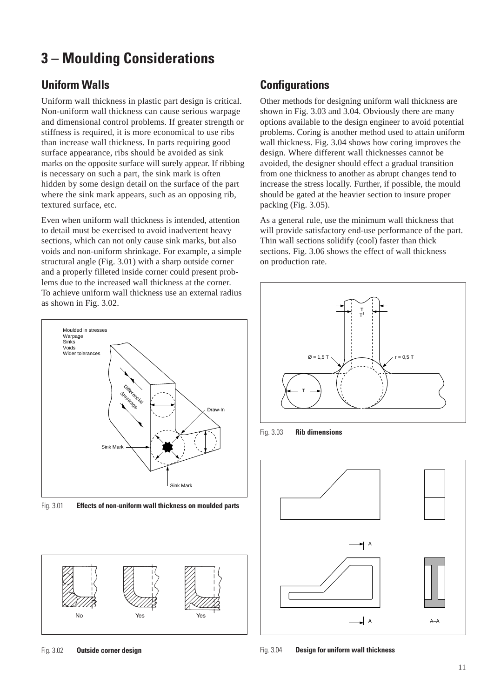# **3 – Moulding Considerations**

## **Uniform Walls**

Uniform wall thickness in plastic part design is critical. Non-uniform wall thickness can cause serious warpage and dimensional control problems. If greater strength or stiffness is required, it is more economical to use ribs than increase wall thickness. In parts requiring good surface appearance, ribs should be avoided as sink marks on the opposite surface will surely appear. If ribbing is necessary on such a part, the sink mark is often hidden by some design detail on the surface of the part where the sink mark appears, such as an opposing rib, textured surface, etc.

Even when uniform wall thickness is intended, attention to detail must be exercised to avoid inadvertent heavy sections, which can not only cause sink marks, but also voids and non-uniform shrinkage. For example, a simple structural angle (Fig. 3.01) with a sharp outside corner and a properly filleted inside corner could present problems due to the increased wall thickness at the corner. To achieve uniform wall thickness use an external radius as shown in Fig. 3.02.



Fig. 3.01 **Effects of non-uniform wall thickness on moulded parts**



## **Configurations**

Other methods for designing uniform wall thickness are shown in Fig. 3.03 and 3.04. Obviously there are many options available to the design engineer to avoid potential problems. Coring is another method used to attain uniform wall thickness. Fig. 3.04 shows how coring improves the design. Where different wall thicknesses cannot be avoided, the designer should effect a gradual transition from one thickness to another as abrupt changes tend to increase the stress locally. Further, if possible, the mould should be gated at the heavier section to insure proper packing (Fig. 3.05).

As a general rule, use the minimum wall thickness that will provide satisfactory end-use performance of the part. Thin wall sections solidify (cool) faster than thick sections. Fig. 3.06 shows the effect of wall thickness on production rate.



Fig. 3.03 **Rib dimensions**



Fig. 3.04 **Design for uniform wall thickness**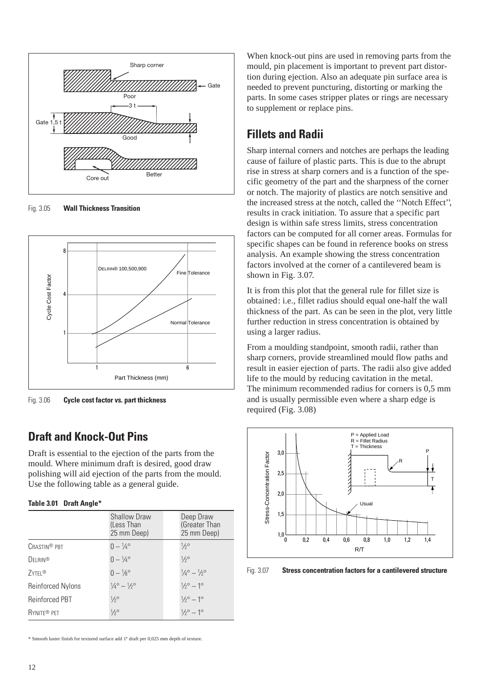

Fig. 3.05 **Wall Thickness Transition**



Fig. 3.06 **Cycle cost factor vs. part thickness**

### **Draft and Knock-Out Pins**

Draft is essential to the ejection of the parts from the mould. Where minimum draft is desired, good draw polishing will aid ejection of the parts from the mould. Use the following table as a general guide.

#### **Table 3.01 Draft Angle\***

|                          | <b>Shallow Draw</b><br>(Less Than<br>25 mm Deep) | Deep Draw<br>(Greater Than<br>25 mm Deep)   |
|--------------------------|--------------------------------------------------|---------------------------------------------|
| CRASTIN <sup>®</sup> PBT | $0 - \frac{1}{4}$ <sup>o</sup>                   | $1/2^{\circ}$                               |
| <b>DELRIN®</b>           | $0 - \frac{1}{4}$ <sup>o</sup>                   | $1/2^{\circ}$                               |
| 7YTFI <sup>®</sup>       | $0 - \frac{1}{8}$ °                              | $\frac{1}{4}$ ° $- \frac{1}{2}$ °           |
| <b>Reinforced Nylons</b> | $\frac{1}{4}$ ° - $\frac{1}{2}$ °                | $1/2^{\circ} - 1^{\circ}$                   |
| <b>Reinforced PBT</b>    | $1/2^{\circ}$                                    | $1/2^{\circ} - 1^{\circ}$                   |
| RYNITE <sup>®</sup> PFT  | $1/2^{\circ}$                                    | $\frac{1}{2}$ <sup>o</sup> - 1 <sup>o</sup> |

\* Smooth luster finish for textured surface add 1° draft per 0,025 mm depth of texture.

When knock-out pins are used in removing parts from the mould, pin placement is important to prevent part distortion during ejection. Also an adequate pin surface area is needed to prevent puncturing, distorting or marking the parts. In some cases stripper plates or rings are necessary to supplement or replace pins.

## **Fillets and Radii**

Sharp internal corners and notches are perhaps the leading cause of failure of plastic parts. This is due to the abrupt rise in stress at sharp corners and is a function of the specific geometry of the part and the sharpness of the corner or notch. The majority of plastics are notch sensitive and the increased stress at the notch, called the ''Notch Effect'', results in crack initiation. To assure that a specific part design is within safe stress limits, stress concentration factors can be computed for all corner areas. Formulas for specific shapes can be found in reference books on stress analysis. An example showing the stress concentration factors involved at the corner of a cantilevered beam is shown in Fig. 3.07.

It is from this plot that the general rule for fillet size is obtained: i.e., fillet radius should equal one-half the wall thickness of the part. As can be seen in the plot, very little further reduction in stress concentration is obtained by using a larger radius.

From a moulding standpoint, smooth radii, rather than sharp corners, provide streamlined mould flow paths and result in easier ejection of parts. The radii also give added life to the mould by reducing cavitation in the metal. The minimum recommended radius for corners is 0,5 mm and is usually permissible even where a sharp edge is required (Fig. 3.08)



Fig. 3.07 **Stress concentration factors for a cantilevered structure**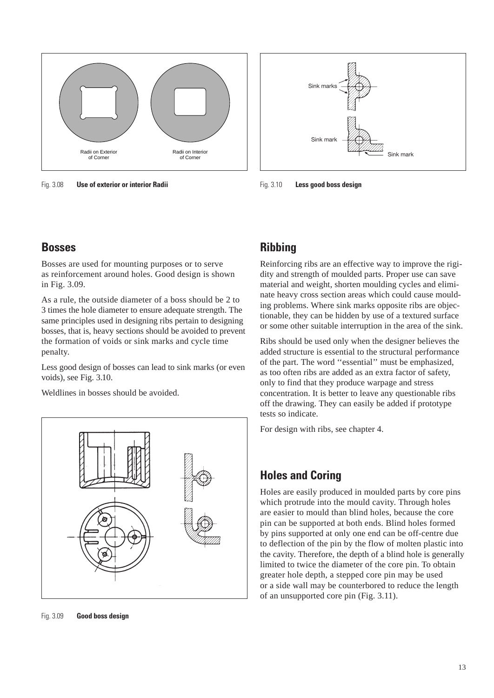

Fig. 3.08 **Use of exterior or interior Radii**



Fig. 3.10 **Less good boss design**

### **Bosses**

Bosses are used for mounting purposes or to serve as reinforcement around holes. Good design is shown in Fig. 3.09.

As a rule, the outside diameter of a boss should be 2 to 3 times the hole diameter to ensure adequate strength. The same principles used in designing ribs pertain to designing bosses, that is, heavy sections should be avoided to prevent the formation of voids or sink marks and cycle time penalty.

Less good design of bosses can lead to sink marks (or even voids), see Fig. 3.10.

Weldlines in bosses should be avoided.



### **Ribbing**

Reinforcing ribs are an effective way to improve the rigidity and strength of moulded parts. Proper use can save material and weight, shorten moulding cycles and eliminate heavy cross section areas which could cause moulding problems. Where sink marks opposite ribs are objectionable, they can be hidden by use of a textured surface or some other suitable interruption in the area of the sink.

Ribs should be used only when the designer believes the added structure is essential to the structural performance of the part. The word ''essential'' must be emphasized, as too often ribs are added as an extra factor of safety, only to find that they produce warpage and stress concentration. It is better to leave any questionable ribs off the drawing. They can easily be added if prototype tests so indicate.

For design with ribs, see chapter 4.

## **Holes and Coring**

Holes are easily produced in moulded parts by core pins which protrude into the mould cavity. Through holes are easier to mould than blind holes, because the core pin can be supported at both ends. Blind holes formed by pins supported at only one end can be off-centre due to deflection of the pin by the flow of molten plastic into the cavity. Therefore, the depth of a blind hole is generally limited to twice the diameter of the core pin. To obtain greater hole depth, a stepped core pin may be used or a side wall may be counterbored to reduce the length of an unsupported core pin (Fig. 3.11).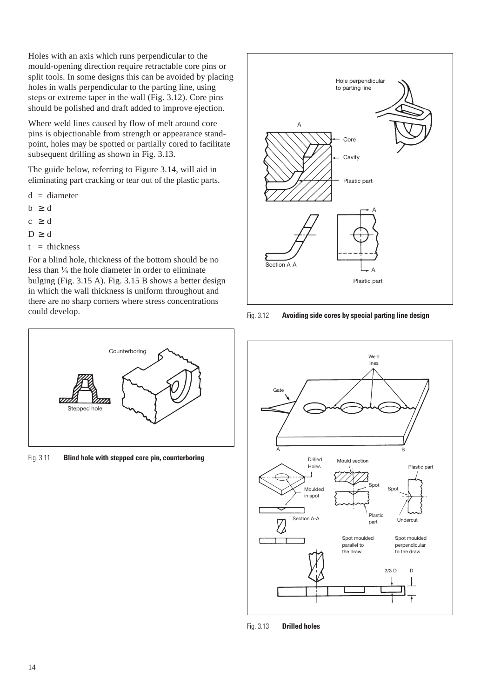Holes with an axis which runs perpendicular to the mould-opening direction require retractable core pins or split tools. In some designs this can be avoided by placing holes in walls perpendicular to the parting line, using steps or extreme taper in the wall (Fig. 3.12). Core pins should be polished and draft added to improve ejection.

Where weld lines caused by flow of melt around core pins is objectionable from strength or appearance standpoint, holes may be spotted or partially cored to facilitate subsequent drilling as shown in Fig. 3.13.

The guide below, referring to Figure 3.14, will aid in eliminating part cracking or tear out of the plastic parts.

- $d = diameter$
- $b \geq d$
- $c \geq d$
- $D \geq d$
- $t =$  thickness

For a blind hole, thickness of the bottom should be no less than  $\frac{1}{6}$  the hole diameter in order to eliminate bulging (Fig. 3.15 A). Fig. 3.15 B shows a better design in which the wall thickness is uniform throughout and there are no sharp corners where stress concentrations could develop.



Fig. 3.11 **Blind hole with stepped core pin, counterboring**



Fig. 3.12 **Avoiding side cores by special parting line design**



Fig. 3.13 **Drilled holes**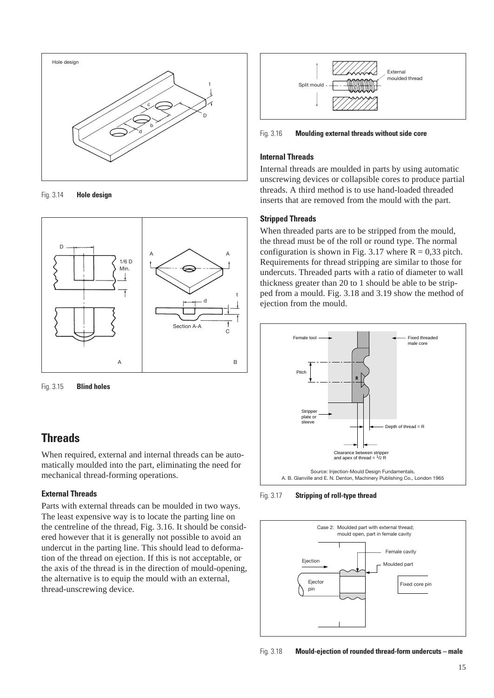

Fig. 3.14 **Hole design**



Fig. 3.15 **Blind holes**

## **Threads**

When required, external and internal threads can be automatically moulded into the part, eliminating the need for mechanical thread-forming operations.

### **External Threads**

Parts with external threads can be moulded in two ways. The least expensive way is to locate the parting line on the centreline of the thread, Fig. 3.16. It should be considered however that it is generally not possible to avoid an undercut in the parting line. This should lead to deformation of the thread on ejection. If this is not acceptable, or the axis of the thread is in the direction of mould-opening, the alternative is to equip the mould with an external, thread-unscrewing device.



Fig. 3.16 **Moulding external threads without side core**

### **Internal Threads**

Internal threads are moulded in parts by using automatic unscrewing devices or collapsible cores to produce partial threads. A third method is to use hand-loaded threaded inserts that are removed from the mould with the part.

#### **Stripped Threads**

When threaded parts are to be stripped from the mould, the thread must be of the roll or round type. The normal configuration is shown in Fig. 3.17 where  $R = 0.33$  pitch. Requirements for thread stripping are similar to those for undercuts. Threaded parts with a ratio of diameter to wall thickness greater than 20 to 1 should be able to be stripped from a mould. Fig. 3.18 and 3.19 show the method of ejection from the mould.



Fig. 3.17 **Stripping of roll-type thread**



Fig. 3.18 **Mould-ejection of rounded thread-form undercuts – male**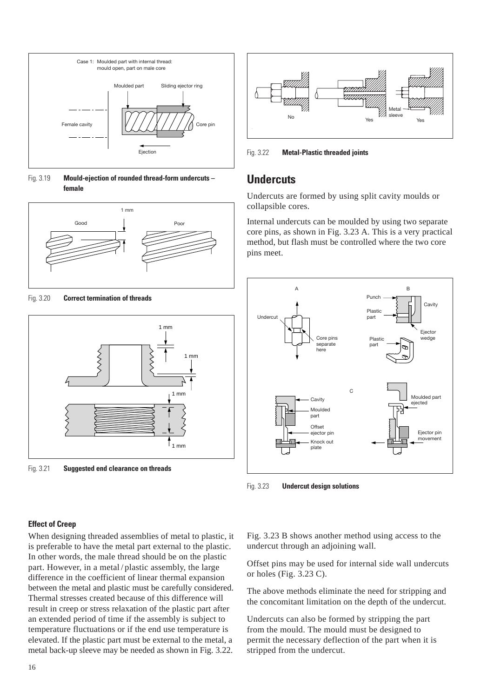

Fig. 3.19 **Mould-ejection of rounded thread-form undercuts – female**



Fig. 3.20 **Correct termination of threads**



Fig. 3.21 **Suggested end clearance on threads**



Fig. 3.22 **Metal-Plastic threaded joints**

### **Undercuts**

Undercuts are formed by using split cavity moulds or collapsible cores.

Internal undercuts can be moulded by using two separate core pins, as shown in Fig. 3.23 A. This is a very practical method, but flash must be controlled where the two core pins meet.



Fig. 3.23 **Undercut design solutions**

#### **Effect of Creep**

When designing threaded assemblies of metal to plastic, it is preferable to have the metal part external to the plastic. In other words, the male thread should be on the plastic part. However, in a metal / plastic assembly, the large difference in the coefficient of linear thermal expansion between the metal and plastic must be carefully considered. Thermal stresses created because of this difference will result in creep or stress relaxation of the plastic part after an extended period of time if the assembly is subject to temperature fluctuations or if the end use temperature is elevated. If the plastic part must be external to the metal, a metal back-up sleeve may be needed as shown in Fig. 3.22.

Fig. 3.23 B shows another method using access to the undercut through an adjoining wall.

Offset pins may be used for internal side wall undercuts or holes (Fig. 3.23 C).

The above methods eliminate the need for stripping and the concomitant limitation on the depth of the undercut.

Undercuts can also be formed by stripping the part from the mould. The mould must be designed to permit the necessary deflection of the part when it is stripped from the undercut.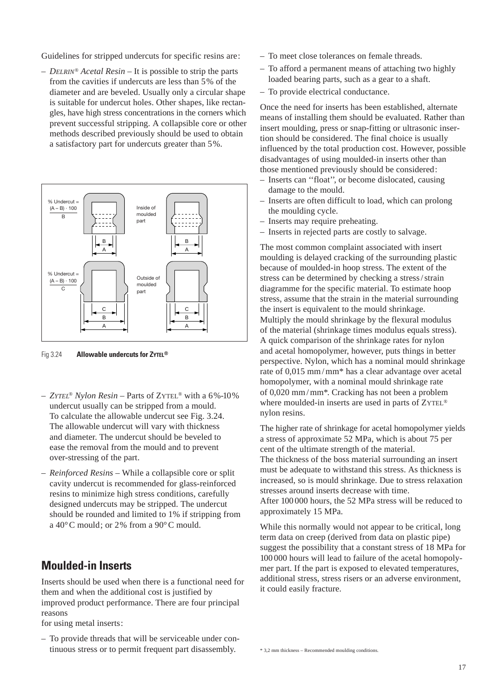Guidelines for stripped undercuts for specific resins are:

– *DELRIN® Acetal Resin* – It is possible to strip the parts from the cavities if undercuts are less than 5% of the diameter and are beveled. Usually only a circular shape is suitable for undercut holes. Other shapes, like rectangles, have high stress concentrations in the corners which prevent successful stripping. A collapsible core or other methods described previously should be used to obtain a satisfactory part for undercuts greater than 5%.



Fig 3.24 **Allowable undercuts for ZYTEL®**

- *ZYTEL*® *Nylon Resin*  Parts of ZYTEL® with a 6%-10% undercut usually can be stripped from a mould. To calculate the allowable undercut see Fig. 3.24. The allowable undercut will vary with thickness and diameter. The undercut should be beveled to ease the removal from the mould and to prevent over-stressing of the part.
- *Reinforced Resins*  While a collapsible core or split cavity undercut is recommended for glass-reinforced resins to minimize high stress conditions, carefully designed undercuts may be stripped. The undercut should be rounded and limited to 1% if stripping from a 40°C mould; or 2% from a 90°C mould.

### **Moulded-in Inserts**

Inserts should be used when there is a functional need for them and when the additional cost is justified by improved product performance. There are four principal reasons

for using metal inserts:

– To provide threads that will be serviceable under continuous stress or to permit frequent part disassembly.

- To meet close tolerances on female threads.
- To afford a permanent means of attaching two highly loaded bearing parts, such as a gear to a shaft.
- To provide electrical conductance.

Once the need for inserts has been established, alternate means of installing them should be evaluated. Rather than insert moulding, press or snap-fitting or ultrasonic insertion should be considered. The final choice is usually influenced by the total production cost. However, possible disadvantages of using moulded-in inserts other than those mentioned previously should be considered:

- Inserts can ''float'', or become dislocated, causing damage to the mould.
- Inserts are often difficult to load, which can prolong the moulding cycle.
- Inserts may require preheating.
- Inserts in rejected parts are costly to salvage.

The most common complaint associated with insert moulding is delayed cracking of the surrounding plastic because of moulded-in hoop stress. The extent of the stress can be determined by checking a stress / strain diagramme for the specific material. To estimate hoop stress, assume that the strain in the material surrounding the insert is equivalent to the mould shrinkage. Multiply the mould shrinkage by the flexural modulus of the material (shrinkage times modulus equals stress). A quick comparison of the shrinkage rates for nylon and acetal homopolymer, however, puts things in better perspective. Nylon, which has a nominal mould shrinkage rate of 0,015 mm / mm\* has a clear advantage over acetal homopolymer, with a nominal mould shrinkage rate of 0,020 mm / mm\*. Cracking has not been a problem where moulded-in inserts are used in parts of ZYTEL<sup>®</sup> nylon resins.

The higher rate of shrinkage for acetal homopolymer yields a stress of approximate 52 MPa, which is about 75 per cent of the ultimate strength of the material. The thickness of the boss material surrounding an insert must be adequate to withstand this stress. As thickness is increased, so is mould shrinkage. Due to stress relaxation stresses around inserts decrease with time. After 100 000 hours, the 52 MPa stress will be reduced to approximately 15 MPa.

While this normally would not appear to be critical, long term data on creep (derived from data on plastic pipe) suggest the possibility that a constant stress of 18 MPa for 100 000 hours will lead to failure of the acetal homopolymer part. If the part is exposed to elevated temperatures, additional stress, stress risers or an adverse environment, it could easily fracture.

\* 3,2 mm thickness – Recommended moulding conditions.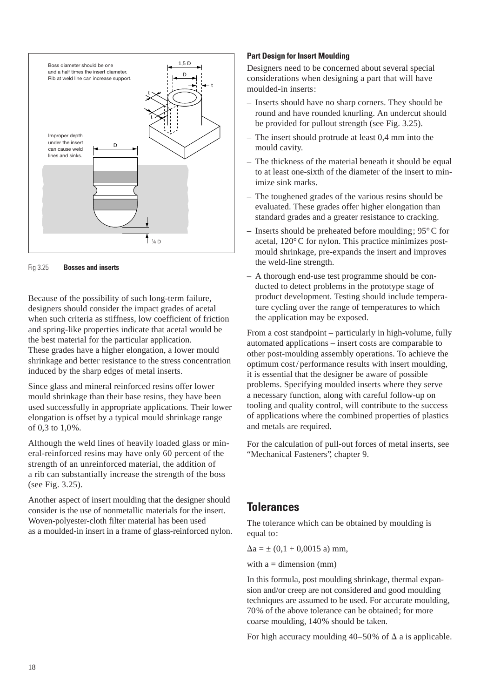

Fig 3.25 **Bosses and inserts**

Because of the possibility of such long-term failure, designers should consider the impact grades of acetal when such criteria as stiffness, low coefficient of friction and spring-like properties indicate that acetal would be the best material for the particular application. These grades have a higher elongation, a lower mould shrinkage and better resistance to the stress concentration induced by the sharp edges of metal inserts.

Since glass and mineral reinforced resins offer lower mould shrinkage than their base resins, they have been used successfully in appropriate applications. Their lower elongation is offset by a typical mould shrinkage range of 0,3 to 1,0%.

Although the weld lines of heavily loaded glass or mineral-reinforced resins may have only 60 percent of the strength of an unreinforced material, the addition of a rib can substantially increase the strength of the boss (see Fig. 3.25).

Another aspect of insert moulding that the designer should consider is the use of nonmetallic materials for the insert. Woven-polyester-cloth filter material has been used as a moulded-in insert in a frame of glass-reinforced nylon.

#### **Part Design for Insert Moulding**

Designers need to be concerned about several special considerations when designing a part that will have moulded-in inserts:

- Inserts should have no sharp corners. They should be round and have rounded knurling. An undercut should be provided for pullout strength (see Fig. 3.25).
- The insert should protrude at least 0,4 mm into the mould cavity.
- The thickness of the material beneath it should be equal to at least one-sixth of the diameter of the insert to minimize sink marks.
- The toughened grades of the various resins should be evaluated. These grades offer higher elongation than standard grades and a greater resistance to cracking.
- Inserts should be preheated before moulding;  $95^{\circ}$ C for acetal, 120°C for nylon. This practice minimizes postmould shrinkage, pre-expands the insert and improves the weld-line strength.
- A thorough end-use test programme should be conducted to detect problems in the prototype stage of product development. Testing should include temperature cycling over the range of temperatures to which the application may be exposed.

From a cost standpoint – particularly in high-volume, fully automated applications – insert costs are comparable to other post-moulding assembly operations. To achieve the optimum cost / performance results with insert moulding, it is essential that the designer be aware of possible problems. Specifying moulded inserts where they serve a necessary function, along with careful follow-up on tooling and quality control, will contribute to the success of applications where the combined properties of plastics and metals are required.

For the calculation of pull-out forces of metal inserts, see "Mechanical Fasteners", chapter 9.

### **Tolerances**

The tolerance which can be obtained by moulding is equal to:

 $\Delta a = \pm (0, 1 + 0, 0015 \text{ a}) \text{ mm},$ 

with  $a =$  dimension (mm)

In this formula, post moulding shrinkage, thermal expansion and/or creep are not considered and good moulding techniques are assumed to be used. For accurate moulding, 70% of the above tolerance can be obtained; for more coarse moulding, 140% should be taken.

For high accuracy moulding 40–50% of  $\Delta$  a is applicable.